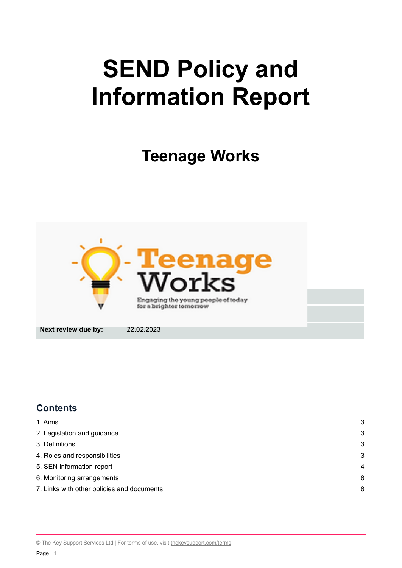# **SEND Policy and Information Report**

**Teenage Works**



# **Contents**

| 1. Aims                                    | 3 |
|--------------------------------------------|---|
| 2. Legislation and guidance                | 3 |
| 3. Definitions                             | 3 |
| 4. Roles and responsibilities              | 3 |
| 5. SEN information report                  | 4 |
| 6. Monitoring arrangements                 | 8 |
| 7. Links with other policies and documents | 8 |

© The Key Support Services Ltd | For terms of use, visit [thekeysupport.com/terms](https://thekeysupport.com/terms-of-use)

Page **|** 1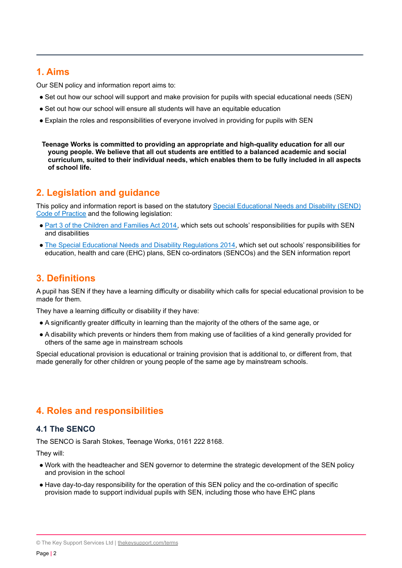# <span id="page-1-0"></span>**1. Aims**

Our SEN policy and information report aims to:

- Set out how our school will support and make provision for pupils with special educational needs (SEN)
- Set out how our school will ensure all students will have an equitable education
- Explain the roles and responsibilities of everyone involved in providing for pupils with SEN

**Teenage Works is committed to providing an appropriate and high-quality education for all our young people. We believe that all out students are entitled to a balanced academic and social curriculum, suited to their individual needs, which enables them to be fully included in all aspects of school life.**

# <span id="page-1-1"></span>**2. Legislation and guidance**

This policy and information report is based on the statutory Special [Educational](https://www.gov.uk/government/uploads/system/uploads/attachment_data/file/398815/SEND_Code_of_Practice_January_2015.pdf) Needs and Disability (SEND) Code of [Practice](https://www.gov.uk/government/uploads/system/uploads/attachment_data/file/398815/SEND_Code_of_Practice_January_2015.pdf) and the following legislation:

- Part 3 of the [Children](http://www.legislation.gov.uk/ukpga/2014/6/part/3) and Families Act 2014, which sets out schools' responsibilities for pupils with SEN and disabilities
- The Special Educational Needs and Disability [Regulations](http://www.legislation.gov.uk/uksi/2014/1530/contents/made) 2014, which set out schools' responsibilities for education, health and care (EHC) plans, SEN co-ordinators (SENCOs) and the SEN information report

# <span id="page-1-2"></span>**3. Definitions**

A pupil has SEN if they have a learning difficulty or disability which calls for special educational provision to be made for them.

They have a learning difficulty or disability if they have:

- A significantly greater difficulty in learning than the majority of the others of the same age, or
- A disability which prevents or hinders them from making use of facilities of a kind generally provided for others of the same age in mainstream schools

Special educational provision is educational or training provision that is additional to, or different from, that made generally for other children or young people of the same age by mainstream schools.

# **4. Roles and responsibilities**

# **4.1 The SENCO**

The SENCO is Sarah Stokes, Teenage Works, 0161 222 8168.

They will:

- Work with the headteacher and SEN governor to determine the strategic development of the SEN policy and provision in the school
- Have day-to-day responsibility for the operation of this SEN policy and the co-ordination of specific provision made to support individual pupils with SEN, including those who have EHC plans

<sup>©</sup> The Key Support Services Ltd | [thekeysupport.com/terms](https://thekeysupport.com/terms-of-use)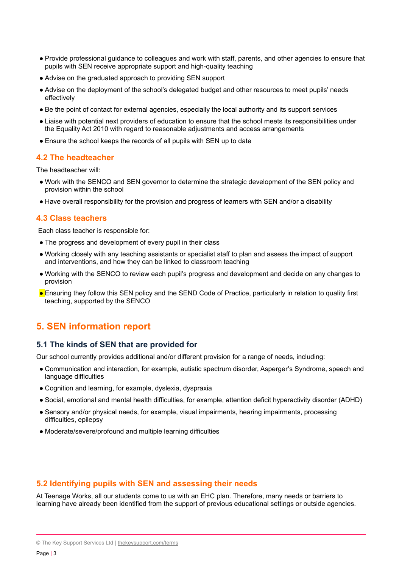- Provide professional guidance to colleagues and work with staff, parents, and other agencies to ensure that pupils with SEN receive appropriate support and high-quality teaching
- Advise on the graduated approach to providing SEN support
- Advise on the deployment of the school's delegated budget and other resources to meet pupils' needs effectively
- Be the point of contact for external agencies, especially the local authority and its support services
- Liaise with potential next providers of education to ensure that the school meets its responsibilities under the Equality Act 2010 with regard to reasonable adjustments and access arrangements
- Ensure the school keeps the records of all pupils with SEN up to date

# **4.2 The headteacher**

The headteacher will:

- Work with the SENCO and SEN governor to determine the strategic development of the SEN policy and provision within the school
- Have overall responsibility for the provision and progress of learners with SEN and/or a disability

## **4.3 Class teachers**

Each class teacher is responsible for:

- The progress and development of every pupil in their class
- Working closely with any teaching assistants or specialist staff to plan and assess the impact of support and interventions, and how they can be linked to classroom teaching
- Working with the SENCO to review each pupil's progress and development and decide on any changes to provision
- Ensuring they follow this SEN policy and the SEND Code of Practice, particularly in relation to quality first teaching, supported by the SENCO

# <span id="page-2-0"></span>**5. SEN information report**

## **5.1 The kinds of SEN that are provided for**

Our school currently provides additional and/or different provision for a range of needs, including:

- Communication and interaction, for example, autistic spectrum disorder, Asperger's Syndrome, speech and language difficulties
- Cognition and learning, for example, dyslexia, dyspraxia
- Social, emotional and mental health difficulties, for example, attention deficit hyperactivity disorder (ADHD)
- Sensory and/or physical needs, for example, visual impairments, hearing impairments, processing difficulties, epilepsy
- Moderate/severe/profound and multiple learning difficulties

# **5.2 Identifying pupils with SEN and assessing their needs**

At Teenage Works, all our students come to us with an EHC plan. Therefore, many needs or barriers to learning have already been identified from the support of previous educational settings or outside agencies.

<sup>©</sup> The Key Support Services Ltd | [thekeysupport.com/terms](https://thekeysupport.com/terms-of-use)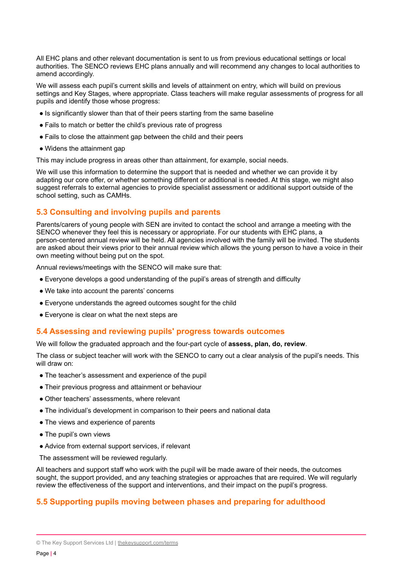All EHC plans and other relevant documentation is sent to us from previous educational settings or local authorities. The SENCO reviews EHC plans annually and will recommend any changes to local authorities to amend accordingly.

We will assess each pupil's current skills and levels of attainment on entry, which will build on previous settings and Key Stages, where appropriate. Class teachers will make regular assessments of progress for all pupils and identify those whose progress:

- Is significantly slower than that of their peers starting from the same baseline
- Fails to match or better the child's previous rate of progress
- Fails to close the attainment gap between the child and their peers
- Widens the attainment gap

This may include progress in areas other than attainment, for example, social needs.

We will use this information to determine the support that is needed and whether we can provide it by adapting our core offer, or whether something different or additional is needed. At this stage, we might also suggest referrals to external agencies to provide specialist assessment or additional support outside of the school setting, such as CAMHs.

# **5.3 Consulting and involving pupils and parents**

Parents/carers of young people with SEN are invited to contact the school and arrange a meeting with the SENCO whenever they feel this is necessary or appropriate. For our students with EHC plans, a person-centered annual review will be held. All agencies involved with the family will be invited. The students are asked about their views prior to their annual review which allows the young person to have a voice in their own meeting without being put on the spot.

Annual reviews/meetings with the SENCO will make sure that:

- Everyone develops a good understanding of the pupil's areas of strength and difficulty
- We take into account the parents' concerns
- Everyone understands the agreed outcomes sought for the child
- Everyone is clear on what the next steps are

## **5.4 Assessing and reviewing pupils' progress towards outcomes**

We will follow the graduated approach and the four-part cycle of **assess, plan, do, review**.

The class or subject teacher will work with the SENCO to carry out a clear analysis of the pupil's needs. This will draw on:

- The teacher's assessment and experience of the pupil
- Their previous progress and attainment or behaviour
- Other teachers' assessments, where relevant
- The individual's development in comparison to their peers and national data
- The views and experience of parents
- The pupil's own views
- Advice from external support services, if relevant

The assessment will be reviewed regularly.

All teachers and support staff who work with the pupil will be made aware of their needs, the outcomes sought, the support provided, and any teaching strategies or approaches that are required. We will reqularly review the effectiveness of the support and interventions, and their impact on the pupil's progress.

# **5.5 Supporting pupils moving between phases and preparing for adulthood**

<sup>©</sup> The Key Support Services Ltd | [thekeysupport.com/terms](https://thekeysupport.com/terms-of-use)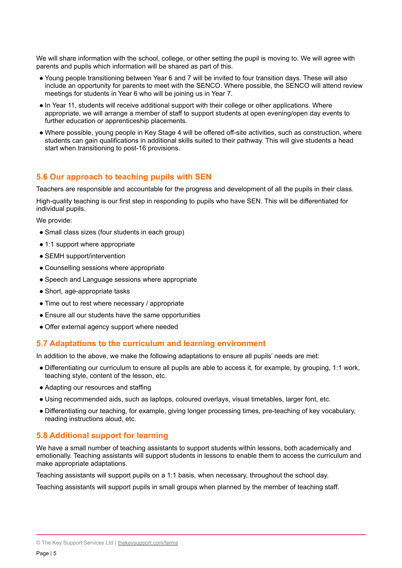We will share information with the school, college, or other setting the pupil is moving to. We will agree with parents and pupils which information will be shared as part of this.

- Young people transitioning between Year 6 and 7 will be invited to four transition days. These will also include an opportunity for parents to meet with the SENCO. Where possible, the SENCO will attend review meetings for students in Year 6 who will be joining us in Year 7.
- In Year 11, students will receive additional support with their college or other applications. Where appropriate, we will arrange a member of staff to support students at open evening/open day events to further education or apprenticeship placements.
- Where possible, young people in Key Stage 4 will be offered off-site activities, such as construction, where students can gain qualifications in additional skills suited to their pathway. This will give students a head start when transitioning to post-16 provisions.

## **5.6 Our approach to teaching pupils with SEN**

Teachers are responsible and accountable for the progress and development of all the pupils in their class.

High-quality teaching is our first step in responding to pupils who have SEN. This will be differentiated for individual pupils.

We provide:

- Small class sizes (four students in each group)
- 1:1 support where appropriate
- SEMH support/intervention
- Counselling sessions where appropriate
- Speech and Language sessions where appropriate
- Short, age-appropriate tasks
- Time out to rest where necessary / appropriate
- Ensure all our students have the same opportunities
- Offer external agency support where needed

## **5.7 Adaptations to the curriculum and learning environment**

In addition to the above, we make the following adaptations to ensure all pupils' needs are met:

- Differentiating our curriculum to ensure all pupils are able to access it, for example, by grouping, 1:1 work, teaching style, content of the lesson, etc.
- Adapting our resources and staffing
- Using recommended aids, such as laptops, coloured overlays, visual timetables, larger font, etc.
- Differentiating our teaching, for example, giving longer processing times, pre-teaching of key vocabulary, reading instructions aloud, etc.

# **5.8 Additional support for learning**

We have a small number of teaching assistants to support students within lessons, both academically and emotionally. Teaching assistants will support students in lessons to enable them to access the curriculum and make appropriate adaptations.

Teaching assistants will support pupils on a 1:1 basis, when necessary, throughout the school day.

Teaching assistants will support pupils in small groups when planned by the member of teaching staff.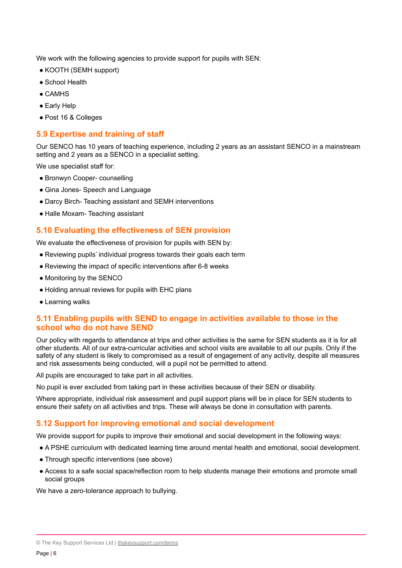We work with the following agencies to provide support for pupils with SEN:

- KOOTH (SEMH support)
- School Health
- $\bullet$  CAMHS
- Early Help
- Post 16 & Colleges

## **5.9 Expertise and training of staff**

Our SENCO has 10 years of teaching experience, including 2 years as an assistant SENCO in a mainstream setting and 2 years as a SENCO in a specialist setting.

We use specialist staff for:

- Bronwyn Cooper- counselling
- Gina Jones- Speech and Language
- Darcy Birch- Teaching assistant and SEMH interventions
- Halle Moxam- Teaching assistant

#### **5.10 Evaluating the effectiveness of SEN provision**

We evaluate the effectiveness of provision for pupils with SEN by:

- Reviewing pupils' individual progress towards their goals each term
- Reviewing the impact of specific interventions after 6-8 weeks
- Monitoring by the SENCO
- Holding annual reviews for pupils with EHC plans
- Learning walks

## **5.11 Enabling pupils with SEND to engage in activities available to those in the school who do not have SEND**

Our policy with regards to attendance at trips and other activities is the same for SEN students as it is for all other students. All of our extra-curricular activities and school visits are available to all our pupils. Only if the safety of any student is likely to compromised as a result of engagement of any activity, despite all measures and risk assessments being conducted, will a pupil not be permitted to attend.

All pupils are encouraged to take part in all activities.

No pupil is ever excluded from taking part in these activities because of their SEN or disability.

Where appropriate, individual risk assessment and pupil support plans will be in place for SEN students to ensure their safety on all activities and trips. These will always be done in consultation with parents.

#### **5.12 Support for improving emotional and social development**

We provide support for pupils to improve their emotional and social development in the following ways:

● A PSHE curriculum with dedicated learning time around mental health and emotional, social development.

- Through specific interventions (see above)
- Access to a safe social space/reflection room to help students manage their emotions and promote small social groups

We have a zero-tolerance approach to bullying.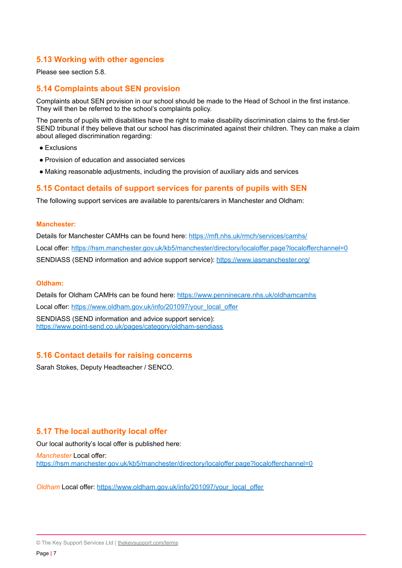## **5.13 Working with other agencies**

Please see section 5.8.

## **5.14 Complaints about SEN provision**

Complaints about SEN provision in our school should be made to the Head of School in the first instance. They will then be referred to the school's complaints policy.

The parents of pupils with disabilities have the right to make disability discrimination claims to the first-tier SEND tribunal if they believe that our school has discriminated against their children. They can make a claim about alleged discrimination regarding:

- Exclusions
- Provision of education and associated services
- Making reasonable adjustments, including the provision of auxiliary aids and services

## **5.15 Contact details of support services for parents of pupils with SEN**

The following support services are available to parents/carers in Manchester and Oldham:

#### **Manchester:**

Details for Manchester CAMHs can be found here: <https://mft.nhs.uk/rmch/services/camhs/> Local offer: <https://hsm.manchester.gov.uk/kb5/manchester/directory/localoffer.page?localofferchannel=0> SENDIASS (SEND information and advice support service): <https://www.iasmanchester.org/>

#### **Oldham:**

Details for Oldham CAMHs can be found here: <https://www.penninecare.nhs.uk/oldhamcamhs> Local offer: [https://www.oldham.gov.uk/info/201097/your\\_local\\_offer](https://www.oldham.gov.uk/info/201097/your_local_offer) SENDIASS (SEND information and advice support service): <https://www.point-send.co.uk/pages/category/oldham-sendiass>

#### **5.16 Contact details for raising concerns**

Sarah Stokes, Deputy Headteacher / SENCO.

## **5.17 The local authority local offer**

Our local authority's local offer is published here:

*Manchester* Local offer: <https://hsm.manchester.gov.uk/kb5/manchester/directory/localoffer.page?localofferchannel=0>

*Oldham Local offer: [https://www.oldham.gov.uk/info/201097/your\\_local\\_offer](https://www.oldham.gov.uk/info/201097/your_local_offer)* 

<sup>©</sup> The Key Support Services Ltd | [thekeysupport.com/terms](https://thekeysupport.com/terms-of-use)